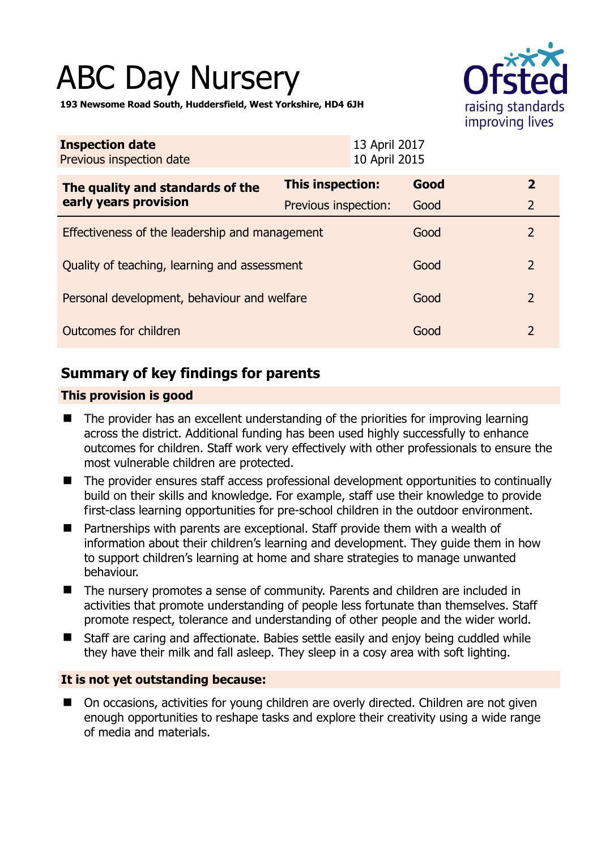# ABC Day Nursery



**193 Newsome Road South, Huddersfield, West Yorkshire, HD4 6JH** 

| <b>Inspection date</b><br>Previous inspection date        | 13 April 2017<br>10 April 2015 |      |                |
|-----------------------------------------------------------|--------------------------------|------|----------------|
| The quality and standards of the<br>early years provision | <b>This inspection:</b>        | Good | $\mathbf{2}$   |
|                                                           | Previous inspection:           | Good | $\overline{2}$ |
| Effectiveness of the leadership and management            |                                | Good | $\overline{2}$ |
| Quality of teaching, learning and assessment              |                                | Good | $\overline{2}$ |
| Personal development, behaviour and welfare               |                                | Good | $\overline{2}$ |
| Outcomes for children                                     |                                | Good | $\overline{2}$ |

# **Summary of key findings for parents**

## **This provision is good**

- The provider has an excellent understanding of the priorities for improving learning across the district. Additional funding has been used highly successfully to enhance outcomes for children. Staff work very effectively with other professionals to ensure the most vulnerable children are protected.
- The provider ensures staff access professional development opportunities to continually build on their skills and knowledge. For example, staff use their knowledge to provide first-class learning opportunities for pre-school children in the outdoor environment.
- Partnerships with parents are exceptional. Staff provide them with a wealth of information about their children's learning and development. They guide them in how to support children's learning at home and share strategies to manage unwanted behaviour.
- The nursery promotes a sense of community. Parents and children are included in activities that promote understanding of people less fortunate than themselves. Staff promote respect, tolerance and understanding of other people and the wider world.
- Staff are caring and affectionate. Babies settle easily and enjoy being cuddled while they have their milk and fall asleep. They sleep in a cosy area with soft lighting.

## **It is not yet outstanding because:**

■ On occasions, activities for young children are overly directed. Children are not given enough opportunities to reshape tasks and explore their creativity using a wide range of media and materials.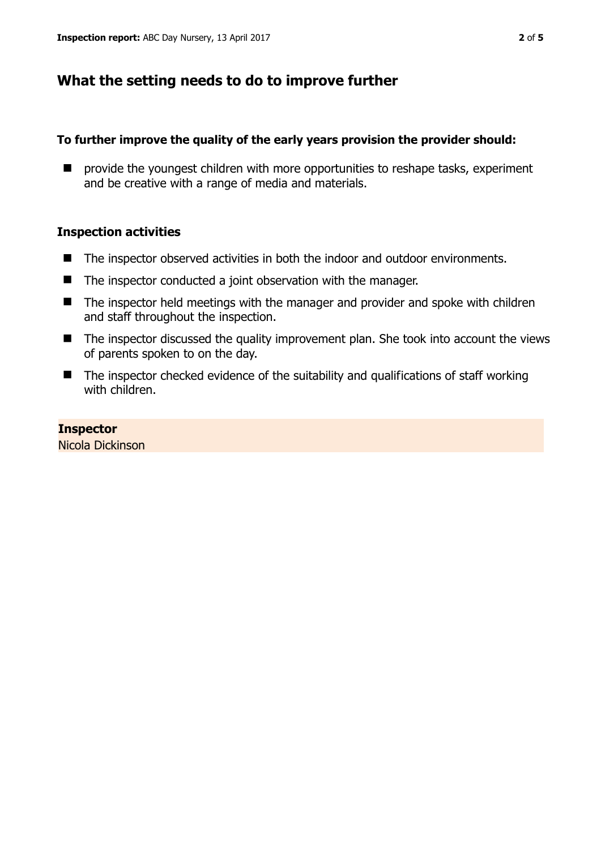# **What the setting needs to do to improve further**

## **To further improve the quality of the early years provision the provider should:**

**P** provide the youngest children with more opportunities to reshape tasks, experiment and be creative with a range of media and materials.

## **Inspection activities**

- The inspector observed activities in both the indoor and outdoor environments.
- The inspector conducted a joint observation with the manager.
- The inspector held meetings with the manager and provider and spoke with children and staff throughout the inspection.
- The inspector discussed the quality improvement plan. She took into account the views of parents spoken to on the day.
- The inspector checked evidence of the suitability and qualifications of staff working with children.

## **Inspector**

Nicola Dickinson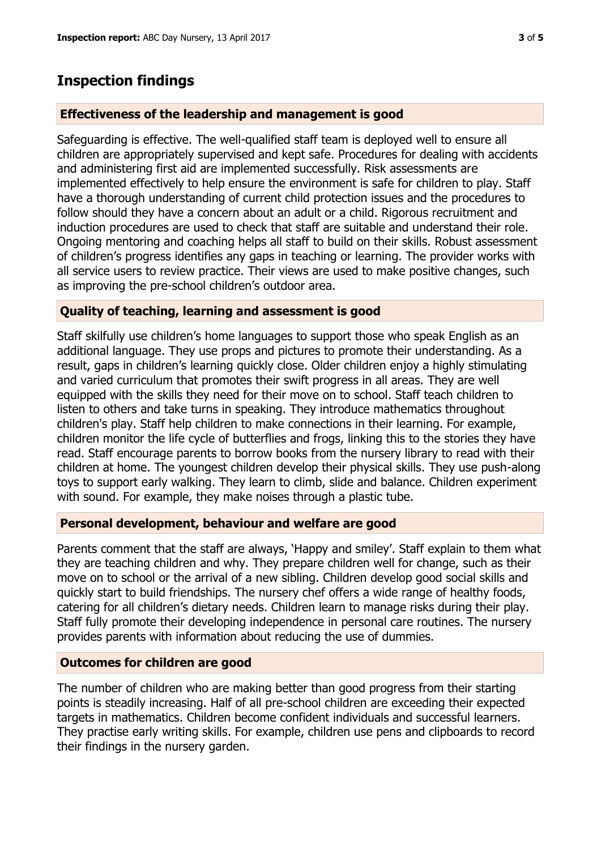# **Inspection findings**

## **Effectiveness of the leadership and management is good**

Safeguarding is effective. The well-qualified staff team is deployed well to ensure all children are appropriately supervised and kept safe. Procedures for dealing with accidents and administering first aid are implemented successfully. Risk assessments are implemented effectively to help ensure the environment is safe for children to play. Staff have a thorough understanding of current child protection issues and the procedures to follow should they have a concern about an adult or a child. Rigorous recruitment and induction procedures are used to check that staff are suitable and understand their role. Ongoing mentoring and coaching helps all staff to build on their skills. Robust assessment of children's progress identifies any gaps in teaching or learning. The provider works with all service users to review practice. Their views are used to make positive changes, such as improving the pre-school children's outdoor area.

## **Quality of teaching, learning and assessment is good**

Staff skilfully use children's home languages to support those who speak English as an additional language. They use props and pictures to promote their understanding. As a result, gaps in children's learning quickly close. Older children enjoy a highly stimulating and varied curriculum that promotes their swift progress in all areas. They are well equipped with the skills they need for their move on to school. Staff teach children to listen to others and take turns in speaking. They introduce mathematics throughout children's play. Staff help children to make connections in their learning. For example, children monitor the life cycle of butterflies and frogs, linking this to the stories they have read. Staff encourage parents to borrow books from the nursery library to read with their children at home. The youngest children develop their physical skills. They use push-along toys to support early walking. They learn to climb, slide and balance. Children experiment with sound. For example, they make noises through a plastic tube.

## **Personal development, behaviour and welfare are good**

Parents comment that the staff are always, 'Happy and smiley'. Staff explain to them what they are teaching children and why. They prepare children well for change, such as their move on to school or the arrival of a new sibling. Children develop good social skills and quickly start to build friendships. The nursery chef offers a wide range of healthy foods, catering for all children's dietary needs. Children learn to manage risks during their play. Staff fully promote their developing independence in personal care routines. The nursery provides parents with information about reducing the use of dummies.

## **Outcomes for children are good**

The number of children who are making better than good progress from their starting points is steadily increasing. Half of all pre-school children are exceeding their expected targets in mathematics. Children become confident individuals and successful learners. They practise early writing skills. For example, children use pens and clipboards to record their findings in the nursery garden.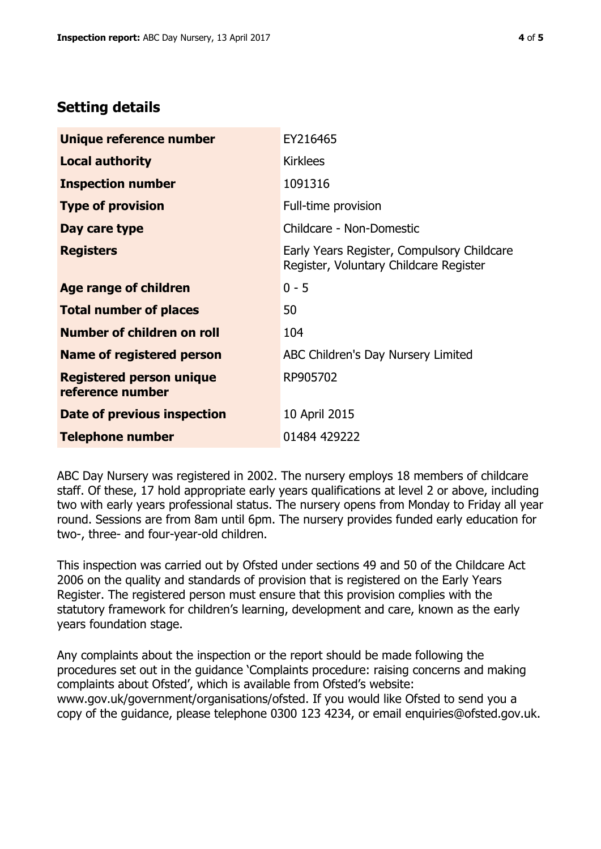# **Setting details**

| Unique reference number                             | EY216465                                                                             |  |
|-----------------------------------------------------|--------------------------------------------------------------------------------------|--|
| <b>Local authority</b>                              | <b>Kirklees</b>                                                                      |  |
| <b>Inspection number</b>                            | 1091316                                                                              |  |
| <b>Type of provision</b>                            | Full-time provision                                                                  |  |
| Day care type                                       | Childcare - Non-Domestic                                                             |  |
| <b>Registers</b>                                    | Early Years Register, Compulsory Childcare<br>Register, Voluntary Childcare Register |  |
| Age range of children                               | $0 - 5$                                                                              |  |
| <b>Total number of places</b>                       | 50                                                                                   |  |
| Number of children on roll                          | 104                                                                                  |  |
| <b>Name of registered person</b>                    | ABC Children's Day Nursery Limited                                                   |  |
| <b>Registered person unique</b><br>reference number | RP905702                                                                             |  |
| <b>Date of previous inspection</b>                  | 10 April 2015                                                                        |  |
| <b>Telephone number</b>                             | 01484 429222                                                                         |  |

ABC Day Nursery was registered in 2002. The nursery employs 18 members of childcare staff. Of these, 17 hold appropriate early years qualifications at level 2 or above, including two with early years professional status. The nursery opens from Monday to Friday all year round. Sessions are from 8am until 6pm. The nursery provides funded early education for two-, three- and four-year-old children.

This inspection was carried out by Ofsted under sections 49 and 50 of the Childcare Act 2006 on the quality and standards of provision that is registered on the Early Years Register. The registered person must ensure that this provision complies with the statutory framework for children's learning, development and care, known as the early years foundation stage.

Any complaints about the inspection or the report should be made following the procedures set out in the guidance 'Complaints procedure: raising concerns and making complaints about Ofsted', which is available from Ofsted's website: www.gov.uk/government/organisations/ofsted. If you would like Ofsted to send you a copy of the guidance, please telephone 0300 123 4234, or email enquiries@ofsted.gov.uk.